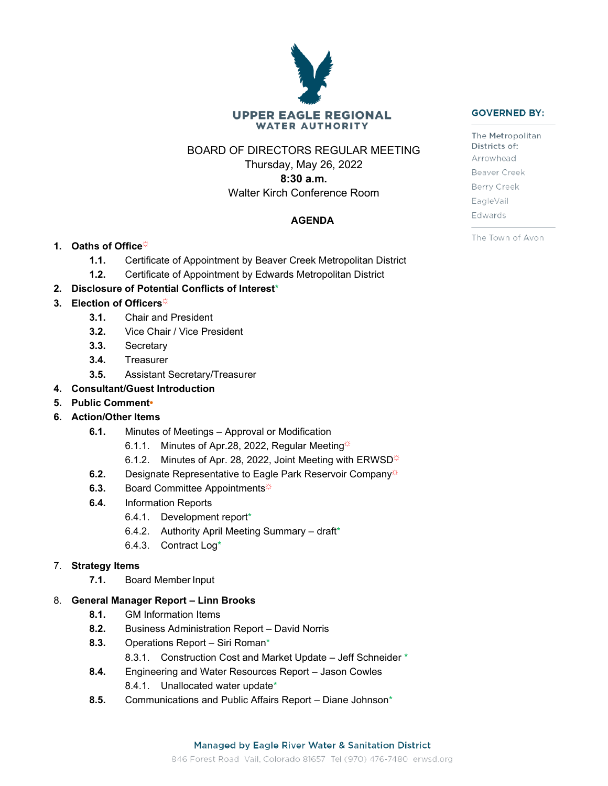# **UPPER EAGLE REGIONAL WATER AUTHORITY**

# BOARD OF DIRECTORS REGULAR MEETING

Thursday, May 26, 2022

**8:30 a.m.** Walter Kirch Conference Room

# **AGENDA**

# **1.** Oaths of Office<sup> $\ddot{\phi}$ </sup>

- **1.1.** Certificate of Appointment by Beaver Creek Metropolitan District
- **1.2.** Certificate of Appointment by Edwards Metropolitan District

# **2. Disclosure of Potential Conflicts of Interest**\*

## 3. **Election of Officers**

- **3.1.** Chair and President
- **3.2.** Vice Chair / Vice President
- **3.3.** Secretary
- **3.4.** Treasurer
- **3.5.** Assistant Secretary/Treasurer

## **4. Consultant/Guest Introduction**

**5. Public Comment•**

## **6. Action/Other Items**

- **6.1.** Minutes of Meetings Approval or Modification
	- 6.1.1. Minutes of Apr.28, 2022, Regular Meeting $\ddot{\varphi}$
	- 6.1.2. Minutes of Apr. 28, 2022, Joint Meeting with ERWSD $\ddot{\varphi}$
- **6.2.** Designate Representative to Eagle Park Reservoir Company<sup>☆</sup>
- **6.3.** Board Committee Appointments<sup></sup>
- **6.4.** Information Reports
	- 6.4.1. Development report\*
	- 6.4.2. Authority April Meeting Summary draft\*
	- 6.4.3. Contract Log\*

## 7. **Strategy Items**

**7.1.** Board Member Input

## 8. **General Manager Report – Linn Brooks**

- **8.1.** GM Information Items
- **8.2.** Business Administration Report David Norris
- **8.3.** Operations Report Siri Roman\*
	- 8.3.1. Construction Cost and Market Update Jeff Schneider \*
- **8.4.** Engineering and Water Resources Report Jason Cowles 8.4.1. Unallocated water update\*
- **8.5.** Communications and Public Affairs Report Diane Johnson\*

#### 846 Forest Road Vail, Colorado 81657 Tel (970) 476-7480 erwsd.org

#### **GOVERNED BY:**

The Metropolitan Districts of: Arrowhead Beaver Creek Berry Creek EagleVail Edwards

The Town of Avon